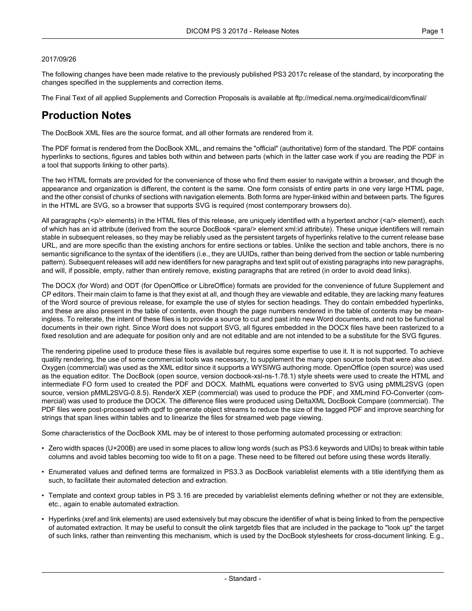#### 2017/09/26

The following changes have been made relative to the previously published PS3 2017c release of the standard, by incorporating the changes specified in the supplements and correction items.

The Final Text of all applied Supplements and Correction Proposals is available at <ftp://medical.nema.org/medical/dicom/final/>

## **Production Notes**

The DocBook XML files are the source format, and all other formats are rendered from it.

The PDF format is rendered from the DocBook XML, and remains the "official" (authoritative) form of the standard. The PDF contains hyperlinks to sections, figures and tables both within and between parts (which in the latter case work if you are reading the PDF in a tool that supports linking to other parts).

The two HTML formats are provided for the convenience of those who find them easier to navigate within a browser, and though the appearance and organization is different, the content is the same. One form consists of entire parts in one very large HTML page, and the other consist of chunks of sections with navigation elements. Both forms are hyper-linked within and between parts. The figures in the HTML are SVG, so a browser that supports SVG is required (most contemporary browsers do).

All paragraphs (<p/> elements) in the HTML files of this release, are uniquely identified with a hypertext anchor (<a/><a/>> element), each of which has an id attribute (derived from the source DocBook <para/> element xml:id attribute). These unique identifiers will remain stable in subsequent releases, so they may be reliably used as the persistent targets of hyperlinks relative to the current release base URL, and are more specific than the existing anchors for entire sections or tables. Unlike the section and table anchors, there is no semantic significance to the syntax of the identifiers (i.e., they are UUIDs, rather than being derived from the section or table numbering pattern). Subsequent releases will add new identifiers for new paragraphs and text split out of existing paragraphs into new paragraphs, and will, if possible, empty, rather than entirely remove, existing paragraphs that are retired (in order to avoid dead links).

The DOCX (for Word) and ODT (for OpenOffice or LibreOffice) formats are provided for the convenience of future Supplement and CP editors. Their main claim to fame is that they exist at all, and though they are viewable and editable, they are lacking many features of the Word source of previous release, for example the use of styles for section headings. They do contain embedded hyperlinks, and these are also present in the table of contents, even though the page numbers rendered in the table of contents may be mean ingless. To reiterate, the intent of these files is to provide a source to cut and past into new Word documents, and not to be functional documents in their own right. Since Word does not support SVG, all figures embedded in the DOCX files have been rasterized to a fixed resolution and are adequate for position only and are not editable and are not intended to be a substitute for the SVG figures.

The rendering pipeline used to produce these files is available but requires some expertise to use it. It is not supported. To achieve quality rendering, the use of some commercial tools was necessary, to supplement the many open source tools that were also used. Oxygen (commercial) was used as the XML editor since it supports a WYSIWG authoring mode. OpenOffice (open source) was used as the equation editor. The DocBook (open source, version docbook-xsl-ns-1.78.1) style sheets were used to create the HTML and intermediate FO form used to created the PDF and DOCX. MathML equations were converted to SVG using pMML2SVG (open source, version pMML2SVG-0.8.5). RenderX XEP (commercial) was used to produce the PDF, and XMLmind FO-Converter (com mercial) was used to produce the DOCX. The difference files were produced using DeltaXML DocBook Compare (commercial). The PDF files were post-processed with qpdf to generate object streams to reduce the size of the tagged PDF and improve searching for strings that span lines within tables and to linearize the files for streamed web page viewing.

Some characteristics of the DocBook XML may be of interest to those performing automated processing or extraction:

- Zero width spaces (U+200B) are used in some places to allow long words (such as PS3.6 keywords and UIDs) to break within table columns and avoid tables becoming too wide to fit on a page. These need to be filtered out before using these words literally.
- Enumerated values and defined terms are formalized in PS3.3 as DocBook variablelist elements with a title identifying them as such, to facilitate their automated detection and extraction.
- Template and context group tables in PS 3.16 are preceded by variablelist elements defining whether or not they are extensible, etc., again to enable automated extraction.
- Hyperlinks (xref and link elements) are used extensively but may obscure the identifier of what is being linked to from the perspective of automated extraction. It may be useful to consult the olink targetdb files that are included in the package to "look up" the target of such links, rather than reinventing this mechanism, which is used by the DocBook stylesheets for cross-document linking. E.g.,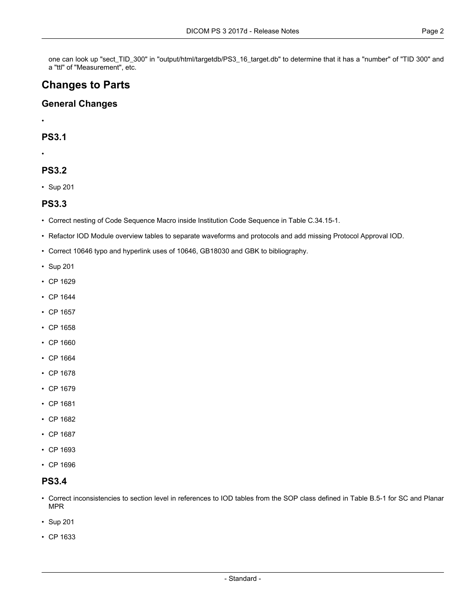one can look up "sect\_TID\_300" in "output/html/targetdb/PS3\_16\_target.db" to determine that it has a "number" of "TID 300" and a "ttl" of "Measurement", etc.

# **Changes to Parts**

#### **General Changes**

•

#### **PS3.1**

•

### **PS3.2**

• [Sup](#page-3-0) 201

#### **PS3.3**

- Correct nesting of Code Sequence Macro inside Institution Code Sequence in Table C.34.15-1.
- Refactor IOD Module overview tables to separate waveforms and protocols and add missing Protocol Approval IOD.
- Correct 10646 typo and hyperlink uses of 10646, GB18030 and GBK to bibliography.
- [Sup](#page-3-0) 201
- CP [1629](#page-4-0)
- CP [1644](#page-4-1)
- CP [1657](#page-4-2)
- CP [1658](#page-4-3)
- CP [1660](#page-4-4)
- CP [1664](#page-4-5)
- CP [1678](#page-4-6)
- CP [1679](#page-4-7)
- CP [1681](#page-4-8)
- CP [1682](#page-4-9)
- CP [1687](#page-4-10)
- CP [1693](#page-4-11)
- CP [1696](#page-4-12)

#### **PS3.4**

- Correct inconsistencies to section level in references to IOD tables from the SOP class defined in Table B.5-1 for SC and Planar MPR
- [Sup](#page-3-0) 201
- CP [1633](#page-4-13)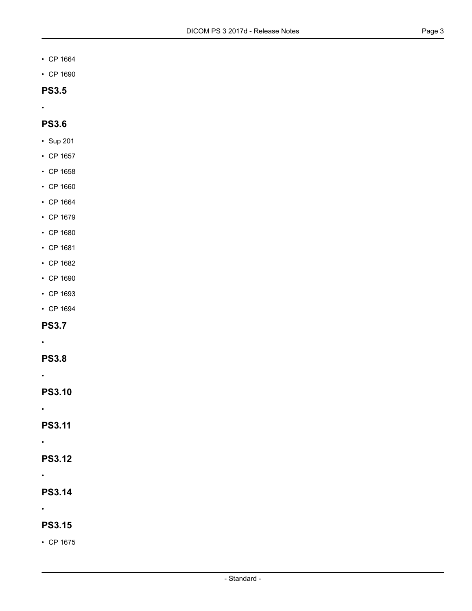- CP [1664](#page-4-5)
- CP [1690](#page-4-14)

### **PS3.5**

•

### **PS3.6**

- [Sup](#page-3-0) 201
- CP [1657](#page-4-2)
- CP [1658](#page-4-3)
- CP [1660](#page-4-4)
- CP [1664](#page-4-5)
- CP [1679](#page-4-7)
- CP [1680](#page-4-15)
- CP [1681](#page-4-8)
- CP [1682](#page-4-9)
- CP [1690](#page-4-14)
- CP [1693](#page-4-11)
- CP [1694](#page-4-16)

#### **PS3.7**

- 
- **PS3.8**
- •

•

**PS3.10**

•

**PS3.11**

•

**PS3.12**

•

**PS3.14**

•

### **PS3.15**

• CP [1675](#page-4-17)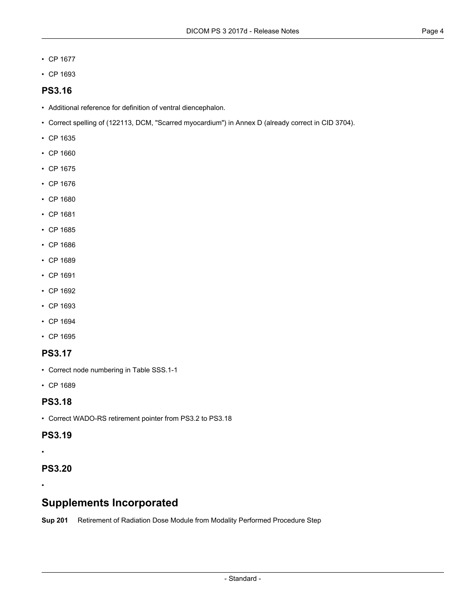- CP [1677](#page-4-18)
- CP [1693](#page-4-11)

#### **PS3.16**

- Additional reference for definition of ventral diencephalon.
- Correct spelling of (122113, DCM, "Scarred myocardium") in Annex D (already correct in CID 3704).
- CP [1635](#page-4-19)
- CP [1660](#page-4-4)
- CP [1675](#page-4-17)
- CP [1676](#page-4-20)
- CP [1680](#page-4-15)
- CP [1681](#page-4-8)
- CP [1685](#page-4-21)
- CP [1686](#page-4-22)
- CP [1689](#page-4-23)
- CP [1691](#page-4-24)
- CP [1692](#page-4-25)
- CP [1693](#page-4-11)
- CP [1694](#page-4-16)
- CP [1695](#page-4-26)

#### **PS3.17**

- Correct node numbering in Table SSS.1-1
- CP [1689](#page-4-23)

#### **PS3.18**

• Correct WADO-RS retirement pointer from PS3.2 to PS3.18

#### **PS3.19**

•

•

### <span id="page-3-0"></span>**PS3.20**

# **Supplements Incorporated**

**[Sup](ftp://medical.nema.org/medical/dicom/final/sup201_ft_RetireRadiationDoseInMPPS.pdf) 201** Retirement of Radiation Dose Module from Modality Performed Procedure Step